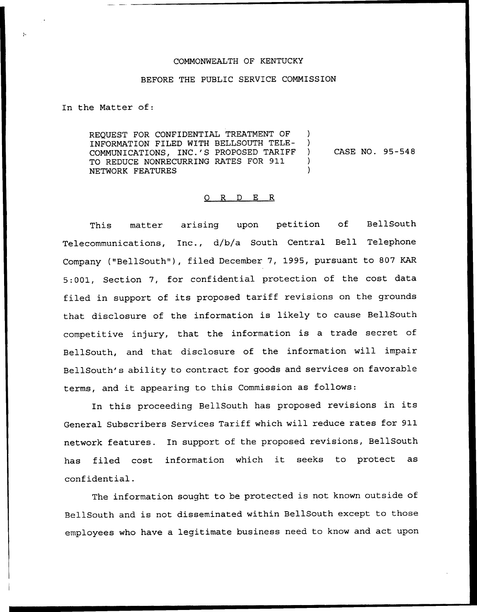## COMMONWEALTH OF KENTUCKY

## BEFORE THE PUBLIC SERVICE COMMISSION

In the Matter of:

REQUEST FOR CONFIDENTIAL TREATMENT OF INFORMATION FILED WITH BELLSOUTH TELE-CASE NO. 95-548  $\mathcal{L}$ COMMUNICAT1ONS, INC.'S PROPOSED TARIFF TO REDUCE NONRECURRING RATES FOR 911 NETWORK FEATURES

## 0 R <sup>D</sup> E R

This matter arising upon petition of BellSouth Telecommunications, Inc., d/b/a South Central Bell Telephone Company {"BellSouth"), filed December 7, 1995, pursuant to 807 KAR 5:001, Section 7, for confidential protection of the cost data filed in support of its proposed tariff revisions on the grounds that disclosure of the information is likely to cause BellSouth competitive injury, that the information is <sup>a</sup> trade secret of BellSouth, and that disclosure of the information will impair BellSouth's ability to contract for goods and services on favorable terms, and it appearing to this Commission as follows:

In this proceeding BellSouth has proposed revisions in its General Subscribers Services Tariff which will reduce rates for 911 network features. In support of the proposed revisions, BellSouth has filed cost information which it seeks to protect as confidential.

The information sought to be protected is not known outside of BellSouth and is not disseminated within BellSouth except to those employees who have a legitimate business need to know and act upon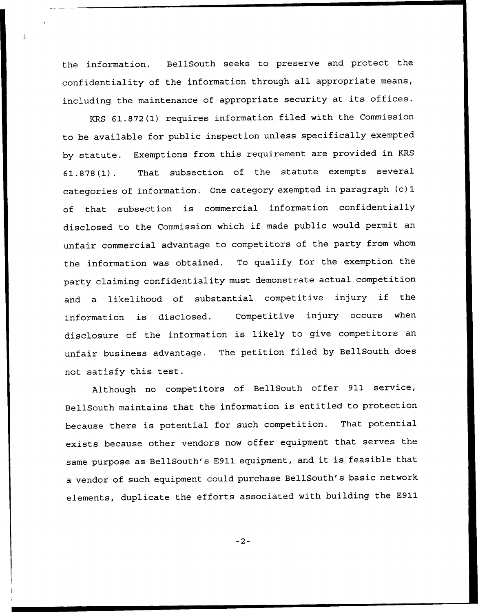the information. BellSouth seeks to preserve and protect the confidentiality of the information through all appropriate means, including the maintenance of appropriate security at its offices.

KRS 61.872(1) requires information filed with the Commission to be available for public inspection unless specifically exempted by statute. Exemptions from this requirement are provided in KRS 61.878(1). That subsection of the statute exempts several categories of information. One category exempted in paragraph (c)1 of that subsection is commercial information confidentially disclosed to the Commission which if made public would permit an unfair commercial advantage to competitors of the party from whom the information was obtained. To qualify for the exemption the party claiming confidentiality must demonstrate actual competition and <sup>a</sup> likelihood of substantial competitive injury if the information is disclosed. Competitive injury occurs when disclosure of the information is likely to give competitors an unfair business advantage. The petition filed by BellSouth does not satisfy this test.

Although no competitors of BellSouth offer 911 service, BellSouth maintains that the information is entitled to protection because there is potential for such competition. That potential exists because other vendors now offer equipment that serves the same purpose as BellSouth's E911 equipment, and it is feasible that a vendor of such equipment could purchase BellSouth's basic network elements, duplicate the efforts associated with building the E911

 $-2-$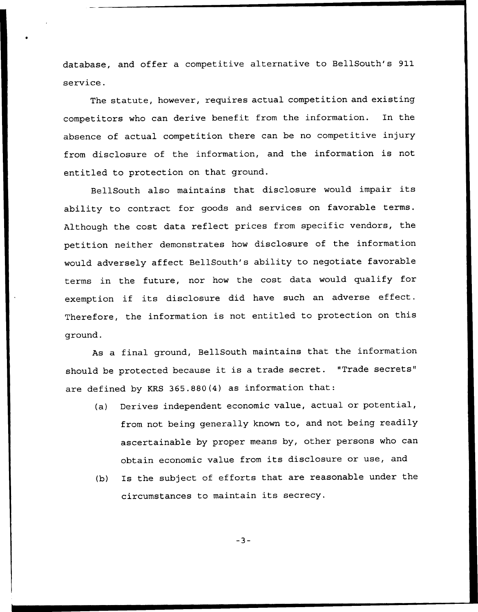database, and offer a competitive alternative to BellSouth's 911 service.

The statute, however, requires actual competition and existing competitors who can derive benefit from the information. In the absence of actual competition there can be no competitive injury from disclosure of the information, and the information is not entitled to protection on that ground.

BellSouth also maintains that disclosure would impair its ability to contract for goods and services on favorable terms. Although the cost data reflect prices from specific vendors, the petition neither demonstrates how disclosure of the information would adversely affect BellSouth's ability to negotiate favorable terms in the future, nor how the cost data would qualify for exemption if its disclosure did have such an adverse effect. Therefore, the information is not entitled to protection on this ground.

As a final ground, BellSouth maintains that the information should be protected because it is <sup>a</sup> trade secret. "Trade secrets" are defined by KRS 365.880(4) as information that:

- (a) Derives independent economic value, actual or potential, from not being generally known to, and not being readily ascertainable by proper means by, other persons who can obtain economic value from its disclosure or use, and
- (b) Is the subject of efforts that are reasonable under the circumstances to maintain its secrecy.

 $-3-$